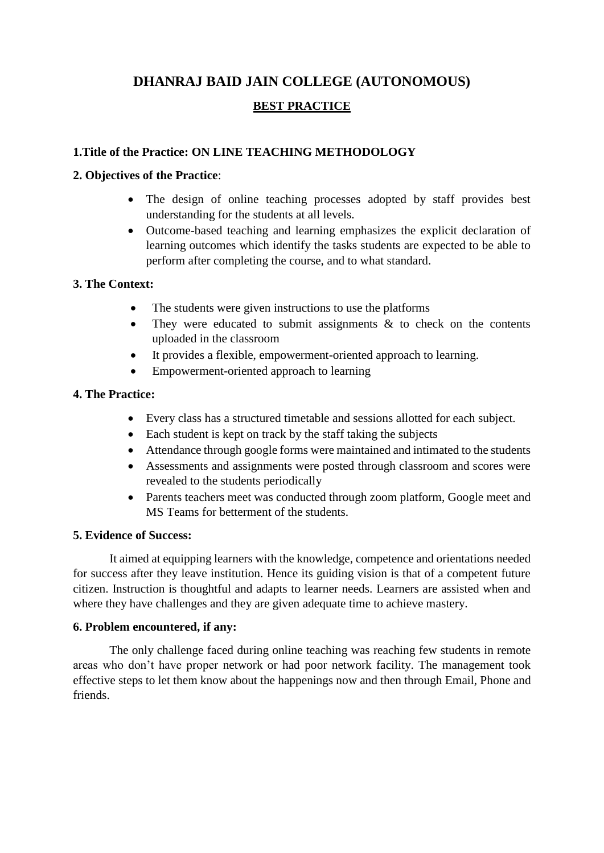# **DHANRAJ BAID JAIN COLLEGE (AUTONOMOUS)**

# **BEST PRACTICE**

# **1.Title of the Practice: ON LINE TEACHING METHODOLOGY**

#### **2. Objectives of the Practice**:

- The design of online teaching processes adopted by staff provides best understanding for the students at all levels.
- Outcome-based teaching and learning emphasizes the explicit declaration of learning outcomes which identify the tasks students are expected to be able to perform after completing the course, and to what standard.

## **3. The Context:**

- The students were given instructions to use the platforms
- They were educated to submit assignments  $\&$  to check on the contents uploaded in the classroom
- It provides a flexible, empowerment-oriented approach to learning.
- Empowerment-oriented approach to learning

## **4. The Practice:**

- Every class has a structured timetable and sessions allotted for each subject.
- Each student is kept on track by the staff taking the subjects
- Attendance through google forms were maintained and intimated to the students
- Assessments and assignments were posted through classroom and scores were revealed to the students periodically
- Parents teachers meet was conducted through zoom platform, Google meet and MS Teams for betterment of the students.

#### **5. Evidence of Success:**

It aimed at equipping learners with the knowledge, competence and orientations needed for success after they leave institution. Hence its guiding vision is that of a competent future citizen. Instruction is thoughtful and adapts to learner needs. Learners are assisted when and where they have challenges and they are given adequate time to achieve mastery.

#### **6. Problem encountered, if any:**

The only challenge faced during online teaching was reaching few students in remote areas who don't have proper network or had poor network facility. The management took effective steps to let them know about the happenings now and then through Email, Phone and friends.